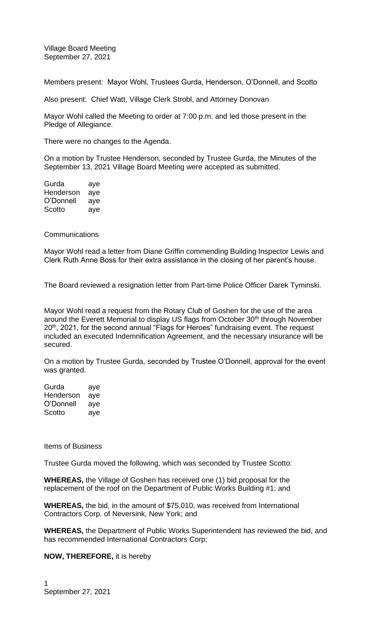Village Board Meeting September 27, 2021

Members present: Mayor Wohl, Trustees Gurda, Henderson, O'Donnell, and Scotto

Also present: Chief Watt, Village Clerk Strobl, and Attorney Donovan

Mayor Wohl called the Meeting to order at 7:00 p.m. and led those present in the Pledge of Allegiance.

There were no changes to the Agenda.

On a motion by Trustee Henderson, seconded by Trustee Gurda, the Minutes of the September 13, 2021 Village Board Meeting were accepted as submitted.

| Gurda     | aye |
|-----------|-----|
| Henderson | aye |
| O'Donnell | aye |
| Scotto    | aye |

## **Communications**

Mayor Wohl read a letter from Diane Griffin commending Building Inspector Lewis and Clerk Ruth Anne Boss for their extra assistance in the closing of her parent's house.

The Board reviewed a resignation letter from Part-time Police Officer Darek Tyminski.

Mayor Wohl read a request from the Rotary Club of Goshen for the use of the area around the Everett Memorial to display US flags from October 30<sup>th</sup> through November 20<sup>th</sup>, 2021, for the second annual "Flags for Heroes" fundraising event. The request included an executed Indemnification Agreement, and the necessary insurance will be secured.

On a motion by Trustee Gurda, seconded by Trustee O'Donnell, approval for the event was granted.

Gurda aye Henderson aye O'Donnell aye Scotto ave

Items of Business

Trustee Gurda moved the following, which was seconded by Trustee Scotto:

**WHEREAS,** the Village of Goshen has received one (1) bid proposal for the replacement of the roof on the Department of Public Works Building #1; and

**WHEREAS,** the bid, in the amount of \$75,010, was received from International Contractors Corp. of Neversink, New York; and

**WHEREAS,** the Department of Public Works Superintendent has reviewed the bid, and has recommended International Contractors Corp;

**NOW, THEREFORE,** it is hereby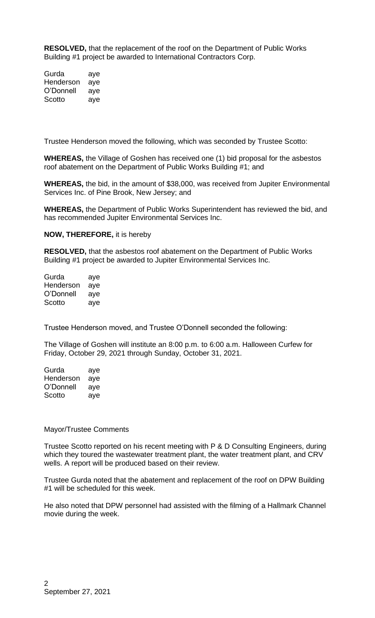**RESOLVED,** that the replacement of the roof on the Department of Public Works Building #1 project be awarded to International Contractors Corp.

Gurda aye Henderson aye O'Donnell aye Scotto ave

Trustee Henderson moved the following, which was seconded by Trustee Scotto:

**WHEREAS,** the Village of Goshen has received one (1) bid proposal for the asbestos roof abatement on the Department of Public Works Building #1; and

**WHEREAS,** the bid, in the amount of \$38,000, was received from Jupiter Environmental Services Inc. of Pine Brook, New Jersey; and

**WHEREAS,** the Department of Public Works Superintendent has reviewed the bid, and has recommended Jupiter Environmental Services Inc.

**NOW, THEREFORE,** it is hereby

**RESOLVED,** that the asbestos roof abatement on the Department of Public Works Building #1 project be awarded to Jupiter Environmental Services Inc.

| Gurda     | aye |
|-----------|-----|
| Henderson | aye |
| O'Donnell | aye |
| Scotto    | aye |

Trustee Henderson moved, and Trustee O'Donnell seconded the following:

The Village of Goshen will institute an 8:00 p.m. to 6:00 a.m. Halloween Curfew for Friday, October 29, 2021 through Sunday, October 31, 2021.

| Gurda     | aye |
|-----------|-----|
| Henderson | aye |
| O'Donnell | aye |
| Scotto    | aye |

## Mayor/Trustee Comments

Trustee Scotto reported on his recent meeting with P & D Consulting Engineers, during which they toured the wastewater treatment plant, the water treatment plant, and CRV wells. A report will be produced based on their review.

Trustee Gurda noted that the abatement and replacement of the roof on DPW Building #1 will be scheduled for this week.

He also noted that DPW personnel had assisted with the filming of a Hallmark Channel movie during the week.